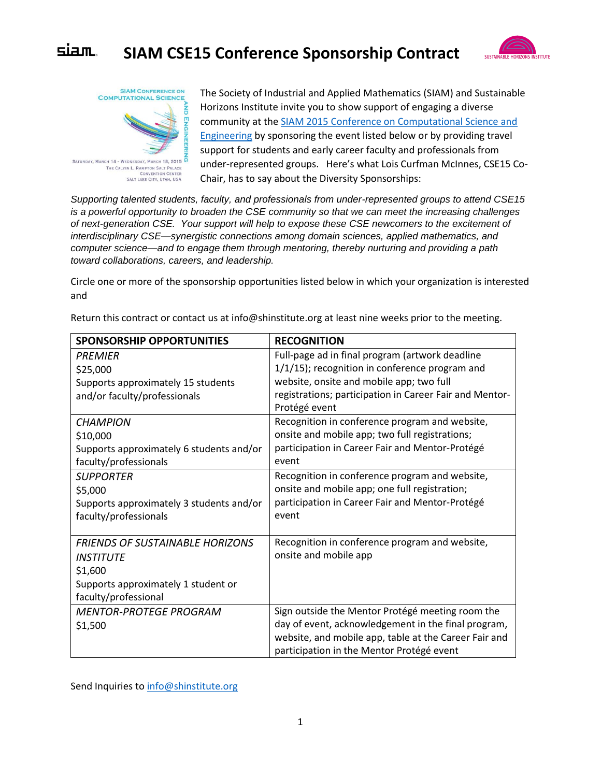## siam. **SIAM CSE15 Conference Sponsorship Contract**





The Society of Industrial and Applied Mathematics (SIAM) and Sustainable Horizons Institute invite you to show support of engaging a diverse community at the [SIAM 2015 Conference on Computational Science and](http://www.siam.org/meetings/cse15/)  [Engineering](http://www.siam.org/meetings/cse15/) by sponsoring the event listed below or by providing travel support for students and early career faculty and professionals from under-represented groups. Here's what Lois Curfman McInnes, CSE15 Co-Chair, has to say about the Diversity Sponsorships:

*Supporting talented students, faculty, and professionals from under-represented groups to attend CSE15 is a powerful opportunity to broaden the CSE community so that we can meet the increasing challenges of next-generation CSE. Your support will help to expose these CSE newcomers to the excitement of interdisciplinary CSE—synergistic connections among domain sciences, applied mathematics, and computer science—and to engage them through mentoring, thereby nurturing and providing a path toward collaborations, careers, and leadership.*

Circle one or more of the sponsorship opportunities listed below in which your organization is interested and

| <b>SPONSORSHIP OPPORTUNITIES</b>         | <b>RECOGNITION</b>                                      |
|------------------------------------------|---------------------------------------------------------|
| <b>PRFMIFR</b>                           | Full-page ad in final program (artwork deadline         |
| \$25,000                                 | 1/1/15); recognition in conference program and          |
| Supports approximately 15 students       | website, onsite and mobile app; two full                |
| and/or faculty/professionals             | registrations; participation in Career Fair and Mentor- |
|                                          | Protégé event                                           |
| <b>CHAMPION</b>                          | Recognition in conference program and website,          |
| \$10,000                                 | onsite and mobile app; two full registrations;          |
| Supports approximately 6 students and/or | participation in Career Fair and Mentor-Protégé         |
| faculty/professionals                    | event                                                   |
| <b>SUPPORTER</b>                         | Recognition in conference program and website,          |
| \$5,000                                  | onsite and mobile app; one full registration;           |
| Supports approximately 3 students and/or | participation in Career Fair and Mentor-Protégé         |
| faculty/professionals                    | event                                                   |
|                                          |                                                         |
| <b>FRIENDS OF SUSTAINABLE HORIZONS</b>   | Recognition in conference program and website,          |
| <b>INSTITUTE</b>                         | onsite and mobile app                                   |
| \$1,600                                  |                                                         |
| Supports approximately 1 student or      |                                                         |
| faculty/professional                     |                                                         |
| <b>MENTOR-PROTEGE PROGRAM</b>            | Sign outside the Mentor Protégé meeting room the        |
| \$1,500                                  | day of event, acknowledgement in the final program,     |
|                                          | website, and mobile app, table at the Career Fair and   |
|                                          | participation in the Mentor Protégé event               |

Return this contract or contact us at info@shinstitute.org at least nine weeks prior to the meeting.

Send Inquiries to [info@shinstitute.org](mailto:info@shinstitute.org)